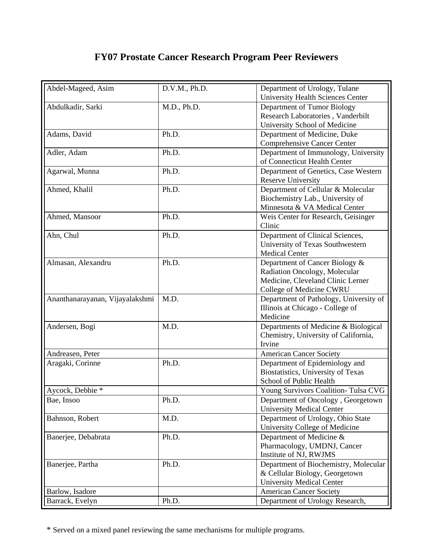## **FY07 Prostate Cancer Research Program Peer Reviewers**

| Abdel-Mageed, Asim              | D.V.M., Ph.D. | Department of Urology, Tulane            |
|---------------------------------|---------------|------------------------------------------|
|                                 |               | <b>University Health Sciences Center</b> |
| Abdulkadir, Sarki               | M.D., Ph.D.   | Department of Tumor Biology              |
|                                 |               | Research Laboratories, Vanderbilt        |
|                                 |               | University School of Medicine            |
| Adams, David                    | Ph.D.         | Department of Medicine, Duke             |
|                                 |               | Comprehensive Cancer Center              |
| Adler, Adam                     | Ph.D.         | Department of Immunology, University     |
|                                 |               | of Connecticut Health Center             |
| Agarwal, Munna                  | Ph.D.         | Department of Genetics, Case Western     |
|                                 |               | <b>Reserve University</b>                |
| Ahmed, Khalil                   | Ph.D.         | Department of Cellular & Molecular       |
|                                 |               | Biochemistry Lab., University of         |
|                                 |               | Minnesota & VA Medical Center            |
| Ahmed, Mansoor                  | Ph.D.         | Weis Center for Research, Geisinger      |
|                                 |               | Clinic                                   |
| Ahn, Chul                       | Ph.D.         | Department of Clinical Sciences,         |
|                                 |               | University of Texas Southwestern         |
|                                 |               | <b>Medical Center</b>                    |
| Almasan, Alexandru              | Ph.D.         | Department of Cancer Biology &           |
|                                 |               | Radiation Oncology, Molecular            |
|                                 |               | Medicine, Cleveland Clinic Lerner        |
|                                 |               | College of Medicine CWRU                 |
| Ananthanarayanan, Vijayalakshmi | M.D.          | Department of Pathology, University of   |
|                                 |               | Illinois at Chicago - College of         |
|                                 |               | Medicine                                 |
| Andersen, Bogi                  | M.D.          | Departments of Medicine & Biological     |
|                                 |               | Chemistry, University of California,     |
|                                 |               | Irvine                                   |
| Andreasen, Peter                |               | <b>American Cancer Society</b>           |
| Aragaki, Corinne                | Ph.D.         | Department of Epidemiology and           |
|                                 |               | Biostatistics, University of Texas       |
|                                 |               | School of Public Health                  |
| Aycock, Debbie *                |               | Young Survivors Coalition- Tulsa CVG     |
| Bae, Insoo                      | Ph.D.         | Department of Oncology, Georgetown       |
|                                 |               | <b>University Medical Center</b>         |
| Bahnson, Robert                 | M.D.          | Department of Urology, Ohio State        |
|                                 |               | University College of Medicine           |
| Banerjee, Debabrata             | Ph.D.         | Department of Medicine &                 |
|                                 |               | Pharmacology, UMDNJ, Cancer              |
|                                 |               | Institute of NJ, RWJMS                   |
| Banerjee, Partha                | Ph.D.         | Department of Biochemistry, Molecular    |
|                                 |               | & Cellular Biology, Georgetown           |
|                                 |               | <b>University Medical Center</b>         |
| Barlow, Isadore                 |               | <b>American Cancer Society</b>           |
| Barrack, Evelyn                 | Ph.D.         | Department of Urology Research,          |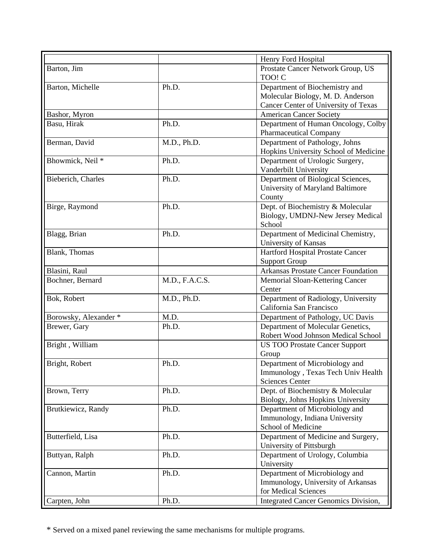|                       |                | Henry Ford Hospital                         |
|-----------------------|----------------|---------------------------------------------|
| Barton, Jim           |                | Prostate Cancer Network Group, US           |
|                       |                | TOO! C                                      |
| Barton, Michelle      | Ph.D.          | Department of Biochemistry and              |
|                       |                | Molecular Biology, M. D. Anderson           |
|                       |                | Cancer Center of University of Texas        |
| Bashor, Myron         |                | <b>American Cancer Society</b>              |
| Basu, Hirak           | Ph.D.          | Department of Human Oncology, Colby         |
|                       |                | <b>Pharmaceutical Company</b>               |
| Berman, David         | M.D., Ph.D.    | Department of Pathology, Johns              |
|                       |                | Hopkins University School of Medicine       |
| Bhowmick, Neil *      | Ph.D.          | Department of Urologic Surgery,             |
|                       |                | Vanderbilt University                       |
| Bieberich, Charles    | Ph.D.          | Department of Biological Sciences,          |
|                       |                | University of Maryland Baltimore            |
|                       |                | County                                      |
| Birge, Raymond        | Ph.D.          | Dept. of Biochemistry & Molecular           |
|                       |                | Biology, UMDNJ-New Jersey Medical           |
|                       |                | School                                      |
| Blagg, Brian          | Ph.D.          | Department of Medicinal Chemistry,          |
|                       |                | University of Kansas                        |
| <b>Blank</b> , Thomas |                | Hartford Hospital Prostate Cancer           |
|                       |                | <b>Support Group</b>                        |
| Blasini, Raul         |                | <b>Arkansas Prostate Cancer Foundation</b>  |
| Bochner, Bernard      | M.D., F.A.C.S. | Memorial Sloan-Kettering Cancer             |
|                       |                | Center                                      |
| Bok, Robert           | M.D., Ph.D.    | Department of Radiology, University         |
|                       |                | California San Francisco                    |
| Borowsky, Alexander * | M.D.           | Department of Pathology, UC Davis           |
| Brewer, Gary          | Ph.D.          | Department of Molecular Genetics,           |
|                       |                | Robert Wood Johnson Medical School          |
| Bright, William       |                | <b>US TOO Prostate Cancer Support</b>       |
|                       |                | Group                                       |
| Bright, Robert        | Ph.D.          | Department of Microbiology and              |
|                       |                | Immunology, Texas Tech Univ Health          |
|                       |                | <b>Sciences Center</b>                      |
| Brown, Terry          | Ph.D.          | Dept. of Biochemistry & Molecular           |
|                       |                | Biology, Johns Hopkins University           |
| Brutkiewicz, Randy    | Ph.D.          | Department of Microbiology and              |
|                       |                | Immunology, Indiana University              |
|                       |                | School of Medicine                          |
| Butterfield, Lisa     | Ph.D.          | Department of Medicine and Surgery,         |
|                       |                | University of Pittsburgh                    |
| Buttyan, Ralph        | Ph.D.          | Department of Urology, Columbia             |
|                       |                | University                                  |
| Cannon, Martin        | Ph.D.          | Department of Microbiology and              |
|                       |                | Immunology, University of Arkansas          |
|                       |                | for Medical Sciences                        |
| Carpten, John         | Ph.D.          | <b>Integrated Cancer Genomics Division,</b> |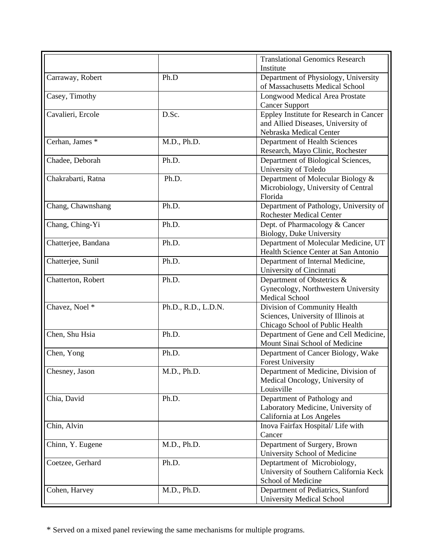|                     |                     | <b>Translational Genomics Research</b>                                  |
|---------------------|---------------------|-------------------------------------------------------------------------|
|                     |                     | Institute                                                               |
| Carraway, Robert    | Ph.D                | Department of Physiology, University<br>of Massachusetts Medical School |
| Casey, Timothy      |                     | <b>Longwood Medical Area Prostate</b>                                   |
|                     |                     | <b>Cancer Support</b>                                                   |
| Cavalieri, Ercole   | D.Sc.               | Eppley Institute for Research in Cancer                                 |
|                     |                     | and Allied Diseases, University of                                      |
|                     |                     | Nebraska Medical Center                                                 |
| Cerhan, James *     | M.D., Ph.D.         | Department of Health Sciences                                           |
|                     |                     | Research, Mayo Clinic, Rochester                                        |
| Chadee, Deborah     | Ph.D.               | Department of Biological Sciences,                                      |
|                     |                     | University of Toledo                                                    |
| Chakrabarti, Ratna  | Ph.D.               | Department of Molecular Biology &                                       |
|                     |                     | Microbiology, University of Central                                     |
|                     |                     | Florida                                                                 |
| Chang, Chawnshang   | Ph.D.               | Department of Pathology, University of                                  |
|                     |                     | <b>Rochester Medical Center</b>                                         |
| Chang, Ching-Yi     | Ph.D.               | Dept. of Pharmacology & Cancer                                          |
|                     |                     | Biology, Duke University                                                |
| Chatterjee, Bandana | Ph.D.               | Department of Molecular Medicine, UT                                    |
|                     |                     | Health Science Center at San Antonio                                    |
| Chatterjee, Sunil   | Ph.D.               | Department of Internal Medicine,                                        |
|                     |                     | University of Cincinnati                                                |
| Chatterton, Robert  | Ph.D.               | Department of Obstetrics &                                              |
|                     |                     | Gynecology, Northwestern University                                     |
|                     |                     | <b>Medical School</b>                                                   |
| Chavez, Noel *      | Ph.D., R.D., L.D.N. | Division of Community Health                                            |
|                     |                     | Sciences, University of Illinois at                                     |
|                     |                     | Chicago School of Public Health                                         |
| Chen, Shu Hsia      | Ph.D.               | Department of Gene and Cell Medicine,                                   |
|                     |                     | Mount Sinai School of Medicine                                          |
| Chen, Yong          | Ph.D.               | Department of Cancer Biology, Wake                                      |
|                     |                     | <b>Forest University</b>                                                |
| Chesney, Jason      | M.D., Ph.D.         | Department of Medicine, Division of                                     |
|                     |                     | Medical Oncology, University of                                         |
|                     |                     | Louisville                                                              |
| Chia, David         | Ph.D.               | Department of Pathology and                                             |
|                     |                     | Laboratory Medicine, University of                                      |
|                     |                     | California at Los Angeles                                               |
| Chin, Alvin         |                     | Inova Fairfax Hospital/ Life with                                       |
|                     |                     | Cancer                                                                  |
| Chinn, Y. Eugene    | M.D., Ph.D.         | Department of Surgery, Brown                                            |
|                     |                     | University School of Medicine                                           |
| Coetzee, Gerhard    | Ph.D.               | Deptartment of Microbiology,                                            |
|                     |                     | University of Southern California Keck                                  |
|                     |                     | School of Medicine                                                      |
| Cohen, Harvey       | M.D., Ph.D.         | Department of Pediatrics, Stanford                                      |
|                     |                     | <b>University Medical School</b>                                        |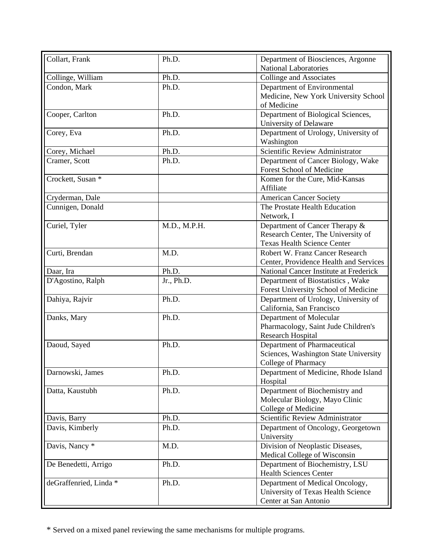| Collart, Frank         | Ph.D.        | Department of Biosciences, Argonne     |
|------------------------|--------------|----------------------------------------|
|                        |              | <b>National Laboratories</b>           |
| Collinge, William      | Ph.D.        | Collinge and Associates                |
| Condon, Mark           | Ph.D.        | Department of Environmental            |
|                        |              | Medicine, New York University School   |
|                        |              | of Medicine                            |
| Cooper, Carlton        | Ph.D.        | Department of Biological Sciences,     |
|                        |              | University of Delaware                 |
| Corey, Eva             | Ph.D.        | Department of Urology, University of   |
|                        |              | Washington                             |
| Corey, Michael         | Ph.D.        | Scientific Review Administrator        |
| Cramer, Scott          | Ph.D.        | Department of Cancer Biology, Wake     |
|                        |              | Forest School of Medicine              |
| Crockett, Susan *      |              | Komen for the Cure, Mid-Kansas         |
|                        |              | Affiliate                              |
| Cryderman, Dale        |              | <b>American Cancer Society</b>         |
| Cunnigen, Donald       |              | The Prostate Health Education          |
|                        |              | Network, I                             |
| Curiel, Tyler          | M.D., M.P.H. | Department of Cancer Therapy &         |
|                        |              | Research Center, The University of     |
|                        |              | <b>Texas Health Science Center</b>     |
| Curti, Brendan         | M.D.         | Robert W. Franz Cancer Research        |
|                        |              | Center, Providence Health and Services |
| Daar, Ira              | Ph.D.        | National Cancer Institute at Frederick |
| D'Agostino, Ralph      | Jr., Ph.D.   | Department of Biostatistics, Wake      |
|                        |              | Forest University School of Medicine   |
| Dahiya, Rajvir         | Ph.D.        | Department of Urology, University of   |
|                        |              | California, San Francisco              |
| Danks, Mary            | Ph.D.        | Department of Molecular                |
|                        |              | Pharmacology, Saint Jude Children's    |
|                        |              | Research Hospital                      |
| Daoud, Sayed           | Ph.D.        | Department of Pharmaceutical           |
|                        |              | Sciences, Washington State University  |
|                        |              | College of Pharmacy                    |
| Darnowski, James       | Ph.D.        | Department of Medicine, Rhode Island   |
|                        |              | Hospital                               |
| Datta, Kaustubh        | Ph.D.        | Department of Biochemistry and         |
|                        |              | Molecular Biology, Mayo Clinic         |
|                        |              | College of Medicine                    |
| Davis, Barry           | Ph.D.        | Scientific Review Administrator        |
| Davis, Kimberly        | Ph.D.        | Department of Oncology, Georgetown     |
|                        |              | University                             |
| Davis, Nancy *         | M.D.         | Division of Neoplastic Diseases,       |
|                        |              | Medical College of Wisconsin           |
| De Benedetti, Arrigo   | Ph.D.        | Department of Biochemistry, LSU        |
|                        |              | <b>Health Sciences Center</b>          |
| deGraffenried, Linda * | Ph.D.        | Department of Medical Oncology,        |
|                        |              | University of Texas Health Science     |
|                        |              | Center at San Antonio                  |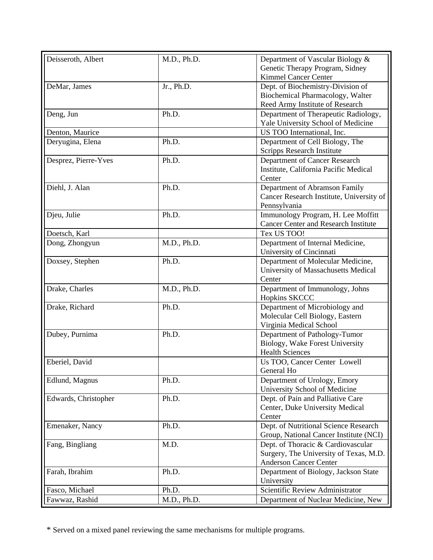| Deisseroth, Albert   | M.D., Ph.D. | Department of Vascular Biology &            |
|----------------------|-------------|---------------------------------------------|
|                      |             | Genetic Therapy Program, Sidney             |
|                      |             | <b>Kimmel Cancer Center</b>                 |
| DeMar, James         | Jr., Ph.D.  | Dept. of Biochemistry-Division of           |
|                      |             | Biochemical Pharmacology, Walter            |
|                      |             | Reed Army Institute of Research             |
| Deng, Jun            | Ph.D.       | Department of Therapeutic Radiology,        |
|                      |             | Yale University School of Medicine          |
| Denton, Maurice      |             | US TOO International, Inc.                  |
| Deryugina, Elena     | Ph.D.       | Department of Cell Biology, The             |
|                      |             | <b>Scripps Research Institute</b>           |
| Desprez, Pierre-Yves | Ph.D.       | Department of Cancer Research               |
|                      |             | Institute, California Pacific Medical       |
|                      |             | Center                                      |
| Diehl, J. Alan       | Ph.D.       | Department of Abramson Family               |
|                      |             | Cancer Research Institute, University of    |
|                      |             | Pennsylvania                                |
| Djeu, Julie          | Ph.D.       | Immunology Program, H. Lee Moffitt          |
|                      |             | <b>Cancer Center and Research Institute</b> |
| Doetsch, Karl        |             | Tex US TOO!                                 |
|                      |             |                                             |
| Dong, Zhongyun       | M.D., Ph.D. | Department of Internal Medicine,            |
|                      |             | University of Cincinnati                    |
| Doxsey, Stephen      | Ph.D.       | Department of Molecular Medicine,           |
|                      |             | University of Massachusetts Medical         |
|                      |             | Center                                      |
| Drake, Charles       | M.D., Ph.D. | Department of Immunology, Johns             |
|                      |             | <b>Hopkins SKCCC</b>                        |
| Drake, Richard       | Ph.D.       | Department of Microbiology and              |
|                      |             | Molecular Cell Biology, Eastern             |
|                      | Ph.D.       | Virginia Medical School                     |
| Dubey, Purnima       |             | Department of Pathology-Tumor               |
|                      |             | Biology, Wake Forest University             |
|                      |             | <b>Health Sciences</b>                      |
| Eberiel, David       |             | Us TOO, Cancer Center Lowell                |
|                      |             | General Ho                                  |
| Edlund, Magnus       | Ph.D.       | Department of Urology, Emory                |
|                      |             | University School of Medicine               |
| Edwards, Christopher | Ph.D.       | Dept. of Pain and Palliative Care           |
|                      |             | Center, Duke University Medical             |
|                      |             | Center                                      |
| Emenaker, Nancy      | Ph.D.       | Dept. of Nutritional Science Research       |
|                      |             | Group, National Cancer Institute (NCI)      |
| Fang, Bingliang      | M.D.        | Dept. of Thoracic & Cardiovascular          |
|                      |             | Surgery, The University of Texas, M.D.      |
|                      |             | <b>Anderson Cancer Center</b>               |
| Farah, Ibrahim       | Ph.D.       | Department of Biology, Jackson State        |
|                      |             | University                                  |
| Fasco, Michael       | Ph.D.       | Scientific Review Administrator             |
| Fawwaz, Rashid       | M.D., Ph.D. | Department of Nuclear Medicine, New         |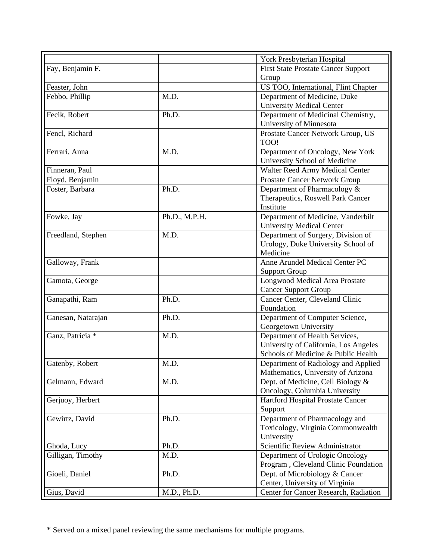|                    |               | York Presbyterian Hospital                 |
|--------------------|---------------|--------------------------------------------|
| Fay, Benjamin F.   |               | <b>First State Prostate Cancer Support</b> |
|                    |               | Group                                      |
| Feaster, John      |               | US TOO, International, Flint Chapter       |
| Febbo, Phillip     | M.D.          | Department of Medicine, Duke               |
|                    |               | <b>University Medical Center</b>           |
| Fecik, Robert      | Ph.D.         | Department of Medicinal Chemistry,         |
|                    |               | University of Minnesota                    |
| Fencl, Richard     |               | Prostate Cancer Network Group, US          |
|                    |               | TOO!                                       |
| Ferrari, Anna      | M.D.          | Department of Oncology, New York           |
|                    |               | University School of Medicine              |
| Finneran, Paul     |               | Walter Reed Army Medical Center            |
| Floyd, Benjamin    |               | <b>Prostate Cancer Network Group</b>       |
| Foster, Barbara    | Ph.D.         | Department of Pharmacology &               |
|                    |               | Therapeutics, Roswell Park Cancer          |
|                    |               | Institute                                  |
| Fowke, Jay         | Ph.D., M.P.H. | Department of Medicine, Vanderbilt         |
|                    |               | <b>University Medical Center</b>           |
| Freedland, Stephen | M.D.          | Department of Surgery, Division of         |
|                    |               | Urology, Duke University School of         |
|                    |               | Medicine                                   |
| Galloway, Frank    |               | Anne Arundel Medical Center PC             |
|                    |               | <b>Support Group</b>                       |
| Gamota, George     |               | Longwood Medical Area Prostate             |
|                    |               | <b>Cancer Support Group</b>                |
| Ganapathi, Ram     | Ph.D.         | Cancer Center, Cleveland Clinic            |
|                    |               | Foundation                                 |
| Ganesan, Natarajan | Ph.D.         | Department of Computer Science,            |
|                    |               | Georgetown University                      |
| Ganz, Patricia *   | M.D.          | Department of Health Services,             |
|                    |               | University of California, Los Angeles      |
|                    |               | Schools of Medicine & Public Health        |
| Gatenby, Robert    | M.D.          | Department of Radiology and Applied        |
|                    |               | Mathematics, University of Arizona         |
| Gelmann, Edward    | M.D.          | Dept. of Medicine, Cell Biology &          |
|                    |               | Oncology, Columbia University              |
| Gerjuoy, Herbert   |               | Hartford Hospital Prostate Cancer          |
|                    |               | Support                                    |
| Gewirtz, David     | Ph.D.         | Department of Pharmacology and             |
|                    |               | Toxicology, Virginia Commonwealth          |
|                    |               | University                                 |
| Ghoda, Lucy        | Ph.D.         | Scientific Review Administrator            |
| Gilligan, Timothy  | M.D.          | Department of Urologic Oncology            |
|                    |               | Program, Cleveland Clinic Foundation       |
| Gioeli, Daniel     | Ph.D.         | Dept. of Microbiology & Cancer             |
|                    |               | Center, University of Virginia             |
| Gius, David        | M.D., Ph.D.   | Center for Cancer Research, Radiation      |
|                    |               |                                            |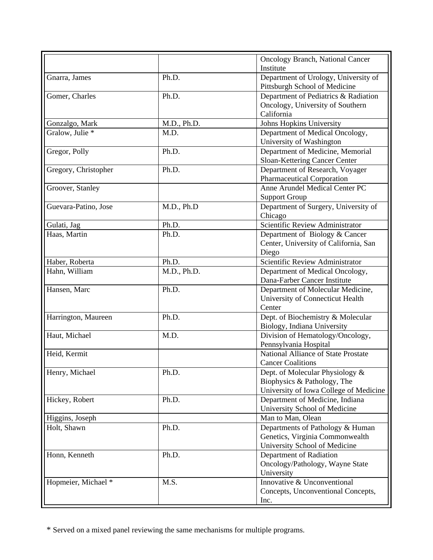|                      |             | <b>Oncology Branch, National Cancer</b><br>Institute |
|----------------------|-------------|------------------------------------------------------|
| Gnarra, James        | Ph.D.       | Department of Urology, University of                 |
|                      |             | Pittsburgh School of Medicine                        |
| Gomer, Charles       | Ph.D.       | Department of Pediatrics & Radiation                 |
|                      |             | Oncology, University of Southern                     |
|                      |             | California                                           |
| Gonzalgo, Mark       | M.D., Ph.D. | Johns Hopkins University                             |
| Gralow, Julie *      | M.D.        | Department of Medical Oncology,                      |
|                      |             | University of Washington                             |
| Gregor, Polly        | Ph.D.       | Department of Medicine, Memorial                     |
|                      |             | Sloan-Kettering Cancer Center                        |
| Gregory, Christopher | Ph.D.       | Department of Research, Voyager                      |
|                      |             | <b>Pharmaceutical Corporation</b>                    |
| Groover, Stanley     |             | Anne Arundel Medical Center PC                       |
|                      |             | <b>Support Group</b>                                 |
| Guevara-Patino, Jose | M.D., Ph.D  | Department of Surgery, University of                 |
|                      |             | Chicago                                              |
| Gulati, Jag          | Ph.D.       | Scientific Review Administrator                      |
| Haas, Martin         | Ph.D.       | Department of Biology & Cancer                       |
|                      |             | Center, University of California, San                |
|                      |             | Diego                                                |
| Haber, Roberta       | Ph.D.       | Scientific Review Administrator                      |
| Hahn, William        | M.D., Ph.D. | Department of Medical Oncology,                      |
|                      |             | Dana-Farber Cancer Institute                         |
| Hansen, Marc         | Ph.D.       | Department of Molecular Medicine,                    |
|                      |             | University of Connecticut Health                     |
|                      |             | Center                                               |
| Harrington, Maureen  | Ph.D.       | Dept. of Biochemistry & Molecular                    |
|                      |             | Biology, Indiana University                          |
| Haut, Michael        | M.D.        | Division of Hematology/Oncology,                     |
|                      |             | Pennsylvania Hospital                                |
| Heid, Kermit         |             | National Alliance of State Prostate                  |
|                      |             | <b>Cancer Coalitions</b>                             |
| Henry, Michael       | Ph.D.       | Dept. of Molecular Physiology &                      |
|                      |             | Biophysics & Pathology, The                          |
|                      |             | University of Iowa College of Medicine               |
| Hickey, Robert       | Ph.D.       | Department of Medicine, Indiana                      |
|                      |             | University School of Medicine                        |
| Higgins, Joseph      |             | Man to Man, Olean                                    |
| Holt, Shawn          | Ph.D.       | Departments of Pathology & Human                     |
|                      |             | Genetics, Virginia Commonwealth                      |
|                      |             | University School of Medicine                        |
| Honn, Kenneth        | Ph.D.       | Department of Radiation                              |
|                      |             | Oncology/Pathology, Wayne State                      |
|                      |             | University                                           |
| Hopmeier, Michael *  | M.S.        | Innovative & Unconventional                          |
|                      |             | Concepts, Unconventional Concepts,                   |
|                      |             |                                                      |
|                      |             | Inc.                                                 |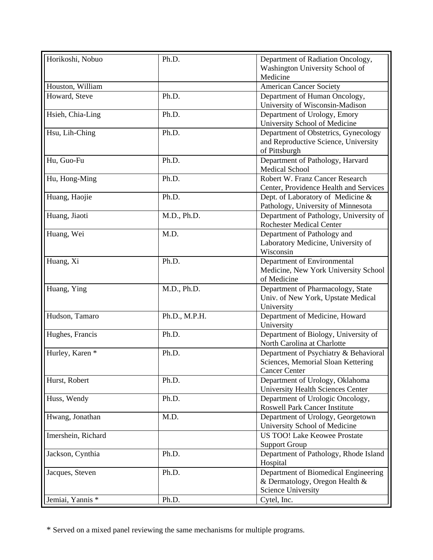| Horikoshi, Nobuo   | Ph.D.         | Department of Radiation Oncology,                    |
|--------------------|---------------|------------------------------------------------------|
|                    |               | Washington University School of                      |
|                    |               | Medicine                                             |
| Houston, William   |               | <b>American Cancer Society</b>                       |
| Howard, Steve      | Ph.D.         | Department of Human Oncology,                        |
|                    |               | University of Wisconsin-Madison                      |
| Hsieh, Chia-Ling   | Ph.D.         | Department of Urology, Emory                         |
|                    |               | University School of Medicine                        |
| Hsu, Lih-Ching     | Ph.D.         | Department of Obstetrics, Gynecology                 |
|                    |               | and Reproductive Science, University                 |
|                    |               | of Pittsburgh                                        |
| Hu, Guo-Fu         | Ph.D.         | Department of Pathology, Harvard                     |
|                    |               | <b>Medical School</b>                                |
| Hu, Hong-Ming      | Ph.D.         | Robert W. Franz Cancer Research                      |
|                    |               | Center, Providence Health and Services               |
| Huang, Haojie      | Ph.D.         | Dept. of Laboratory of Medicine &                    |
|                    |               | Pathology, University of Minnesota                   |
| Huang, Jiaoti      | M.D., Ph.D.   | Department of Pathology, University of               |
|                    |               | <b>Rochester Medical Center</b>                      |
| Huang, Wei         | M.D.          | Department of Pathology and                          |
|                    |               | Laboratory Medicine, University of                   |
|                    |               | Wisconsin                                            |
| Huang, Xi          | Ph.D.         | Department of Environmental                          |
|                    |               | Medicine, New York University School                 |
|                    |               | of Medicine                                          |
| Huang, Ying        | M.D., Ph.D.   | Department of Pharmacology, State                    |
|                    |               | Univ. of New York, Upstate Medical                   |
|                    |               | University                                           |
| Hudson, Tamaro     | Ph.D., M.P.H. | Department of Medicine, Howard                       |
|                    |               | University                                           |
| Hughes, Francis    | Ph.D.         | Department of Biology, University of                 |
|                    |               | North Carolina at Charlotte                          |
| Hurley, Karen *    | Ph.D.         | Department of Psychiatry & Behavioral                |
|                    |               | Sciences, Memorial Sloan Kettering                   |
|                    |               | <b>Cancer Center</b>                                 |
| Hurst, Robert      | Ph.D.         | Department of Urology, Oklahoma                      |
|                    |               | University Health Sciences Center                    |
| Huss, Wendy        | Ph.D.         | Department of Urologic Oncology,                     |
|                    |               | <b>Roswell Park Cancer Institute</b>                 |
| Hwang, Jonathan    | M.D.          | Department of Urology, Georgetown                    |
|                    |               | University School of Medicine                        |
| Imershein, Richard |               | <b>US TOO!</b> Lake Keowee Prostate                  |
|                    |               | <b>Support Group</b>                                 |
| Jackson, Cynthia   | Ph.D.         | Department of Pathology, Rhode Island                |
|                    |               | Hospital                                             |
| Jacques, Steven    | Ph.D.         | Department of Biomedical Engineering                 |
|                    |               | & Dermatology, Oregon Health &<br>Science University |
| Jemiai, Yannis *   | Ph.D.         |                                                      |
|                    |               | Cytel, Inc.                                          |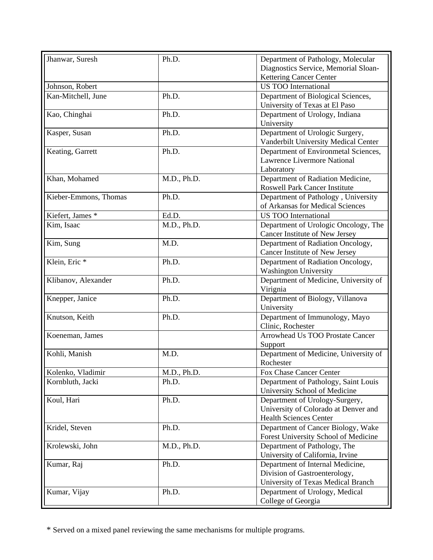| Jhanwar, Suresh          | Ph.D.       | Department of Pathology, Molecular    |
|--------------------------|-------------|---------------------------------------|
|                          |             | Diagnostics Service, Memorial Sloan-  |
|                          |             | <b>Kettering Cancer Center</b>        |
| Johnson, Robert          |             | <b>US TOO International</b>           |
| Kan-Mitchell, June       | Ph.D.       | Department of Biological Sciences,    |
|                          |             | University of Texas at El Paso        |
| Kao, Chinghai            | Ph.D.       | Department of Urology, Indiana        |
|                          |             | University                            |
| Kasper, Susan            | Ph.D.       | Department of Urologic Surgery,       |
|                          |             | Vanderbilt University Medical Center  |
| Keating, Garrett         | Ph.D.       | Department of Environmetal Sciences,  |
|                          |             | Lawrence Livermore National           |
|                          |             | Laboratory                            |
| Khan, Mohamed            | M.D., Ph.D. | Department of Radiation Medicine,     |
|                          |             | <b>Roswell Park Cancer Institute</b>  |
| Kieber-Emmons, Thomas    | Ph.D.       | Department of Pathology, University   |
|                          |             | of Arkansas for Medical Sciences      |
| Kiefert, James *         | Ed.D.       | <b>US TOO International</b>           |
| Kim, Isaac               | M.D., Ph.D. | Department of Urologic Oncology, The  |
|                          |             | Cancer Institute of New Jersey        |
| Kim, Sung                | M.D.        | Department of Radiation Oncology,     |
|                          |             | Cancer Institute of New Jersey        |
| Klein, Eric <sup>*</sup> | Ph.D.       | Department of Radiation Oncology,     |
|                          |             | <b>Washington University</b>          |
| Klibanov, Alexander      | Ph.D.       | Department of Medicine, University of |
|                          |             | Virignia                              |
| Knepper, Janice          | Ph.D.       | Department of Biology, Villanova      |
|                          |             | University                            |
| Knutson, Keith           | Ph.D.       | Department of Immunology, Mayo        |
|                          |             | Clinic, Rochester                     |
| Koeneman, James          |             | Arrowhead Us TOO Prostate Cancer      |
|                          |             | Support                               |
| Kohli, Manish            | M.D.        | Department of Medicine, University of |
|                          |             | Rochester                             |
| Kolenko, Vladimir        | M.D., Ph.D. | Fox Chase Cancer Center               |
| Kornbluth, Jacki         | Ph.D.       | Department of Pathology, Saint Louis  |
|                          |             | University School of Medicine         |
| Koul, Hari               | Ph.D.       | Department of Urology-Surgery,        |
|                          |             | University of Colorado at Denver and  |
|                          |             | <b>Health Sciences Center</b>         |
| Kridel, Steven           | Ph.D.       | Department of Cancer Biology, Wake    |
|                          |             | Forest University School of Medicine  |
| Krolewski, John          | M.D., Ph.D. | Department of Pathology, The          |
|                          |             | University of California, Irvine      |
| Kumar, Raj               | Ph.D.       | Department of Internal Medicine,      |
|                          |             | Division of Gastroenterology,         |
|                          |             | University of Texas Medical Branch    |
| Kumar, Vijay             | Ph.D.       | Department of Urology, Medical        |
|                          |             | College of Georgia                    |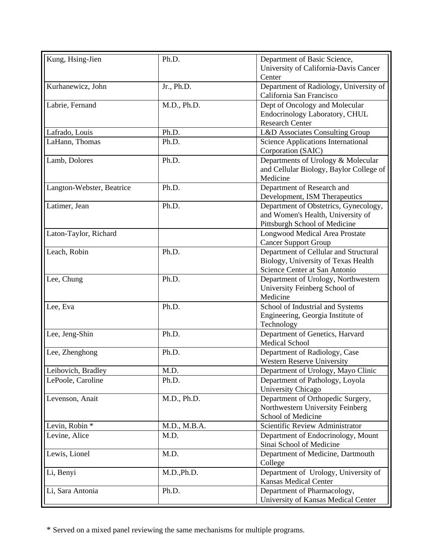| Kung, Hsing-Jien          | Ph.D.        | Department of Basic Science,              |
|---------------------------|--------------|-------------------------------------------|
|                           |              | University of California-Davis Cancer     |
|                           |              | Center                                    |
| Kurhanewicz, John         | Jr., Ph.D.   | Department of Radiology, University of    |
|                           |              | California San Francisco                  |
| Labrie, Fernand           | M.D., Ph.D.  | Dept of Oncology and Molecular            |
|                           |              | Endocrinology Laboratory, CHUL            |
|                           |              | <b>Research Center</b>                    |
| Lafrado, Louis            | Ph.D.        | L&D Associates Consulting Group           |
| LaHann, Thomas            | Ph.D.        | <b>Science Applications International</b> |
|                           |              | Corporation (SAIC)                        |
| Lamb, Dolores             | Ph.D.        | Departments of Urology & Molecular        |
|                           |              | and Cellular Biology, Baylor College of   |
|                           |              | Medicine                                  |
| Langton-Webster, Beatrice | Ph.D.        | Department of Research and                |
|                           |              | Development, ISM Therapeutics             |
| Latimer, Jean             | Ph.D.        | Department of Obstetrics, Gynecology,     |
|                           |              | and Women's Health, University of         |
|                           |              |                                           |
|                           |              | Pittsburgh School of Medicine             |
| Laton-Taylor, Richard     |              | Longwood Medical Area Prostate            |
|                           |              | <b>Cancer Support Group</b>               |
| Leach, Robin              | Ph.D.        | Department of Cellular and Structural     |
|                           |              | Biology, University of Texas Health       |
|                           |              | Science Center at San Antonio             |
| Lee, Chung                | Ph.D.        | Department of Urology, Northwestern       |
|                           |              | University Feinberg School of             |
|                           |              | Medicine                                  |
| Lee, Eva                  | Ph.D.        | School of Industrial and Systems          |
|                           |              | Engineering, Georgia Institute of         |
|                           |              | Technology                                |
| Lee, Jeng-Shin            | Ph.D.        | Department of Genetics, Harvard           |
|                           |              | <b>Medical School</b>                     |
| Lee, Zhenghong            | Ph.D.        | Department of Radiology, Case             |
|                           |              | <b>Western Reserve University</b>         |
| Leibovich, Bradley        | M.D.         | Department of Urology, Mayo Clinic        |
| LePoole, Caroline         | Ph.D.        | Department of Pathology, Loyola           |
|                           |              | University Chicago                        |
| Levenson, Anait           | M.D., Ph.D.  | Department of Orthopedic Surgery,         |
|                           |              | Northwestern University Feinberg          |
|                           |              | School of Medicine                        |
| Levin, Robin *            | M.D., M.B.A. | Scientific Review Administrator           |
| Levine, Alice             | M.D.         | Department of Endocrinology, Mount        |
|                           |              | Sinai School of Medicine                  |
| Lewis, Lionel             | M.D.         | Department of Medicine, Dartmouth         |
|                           |              | College                                   |
| Li, Benyi                 | M.D., Ph.D.  | Department of Urology, University of      |
|                           |              | <b>Kansas Medical Center</b>              |
| Li, Sara Antonia          | Ph.D.        | Department of Pharmacology,               |
|                           |              |                                           |
|                           |              | University of Kansas Medical Center       |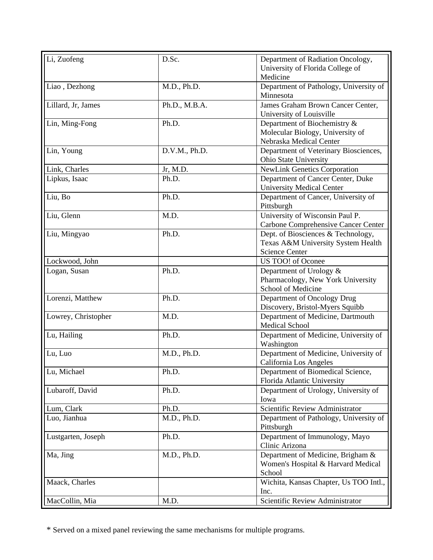| Li, Zuofeng         | D.Sc.         | Department of Radiation Oncology,      |
|---------------------|---------------|----------------------------------------|
|                     |               | University of Florida College of       |
|                     |               | Medicine                               |
| Liao, Dezhong       | M.D., Ph.D.   | Department of Pathology, University of |
|                     |               | Minnesota                              |
| Lillard, Jr, James  | Ph.D., M.B.A. | James Graham Brown Cancer Center,      |
|                     |               | University of Louisville               |
| Lin, Ming-Fong      | Ph.D.         | Department of Biochemistry &           |
|                     |               | Molecular Biology, University of       |
|                     |               | Nebraska Medical Center                |
| Lin, Young          | D.V.M., Ph.D. | Department of Veterinary Biosciences,  |
|                     |               | Ohio State University                  |
| Link, Charles       | Jr, M.D.      | <b>NewLink Genetics Corporation</b>    |
| Lipkus, Isaac       | Ph.D.         | Department of Cancer Center, Duke      |
|                     |               | <b>University Medical Center</b>       |
| Liu, Bo             | Ph.D.         | Department of Cancer, University of    |
|                     |               | Pittsburgh                             |
| Liu, Glenn          | M.D.          | University of Wisconsin Paul P.        |
|                     |               | Carbone Comprehensive Cancer Center    |
| Liu, Mingyao        | Ph.D.         | Dept. of Biosciences & Technology,     |
|                     |               | Texas A&M University System Health     |
|                     |               | <b>Science Center</b>                  |
| Lockwood, John      |               | US TOO! of Oconee                      |
| Logan, Susan        | Ph.D.         | Department of Urology &                |
|                     |               | Pharmacology, New York University      |
|                     |               | School of Medicine                     |
| Lorenzi, Matthew    | Ph.D.         | Department of Oncology Drug            |
|                     |               | Discovery, Bristol-Myers Squibb        |
| Lowrey, Christopher | M.D.          | Department of Medicine, Dartmouth      |
|                     |               | <b>Medical School</b>                  |
| Lu, Hailing         | Ph.D.         | Department of Medicine, University of  |
|                     |               | Washington                             |
| Lu, Luo             | M.D., Ph.D.   | Department of Medicine, University of  |
|                     |               | California Los Angeles                 |
| Lu, Michael         | Ph.D.         | Department of Biomedical Science,      |
|                     |               | Florida Atlantic University            |
| Lubaroff, David     | Ph.D.         | Department of Urology, University of   |
|                     |               | Iowa                                   |
| Lum, Clark          | Ph.D.         | Scientific Review Administrator        |
| Luo, Jianhua        | M.D., Ph.D.   | Department of Pathology, University of |
|                     |               | Pittsburgh                             |
| Lustgarten, Joseph  | Ph.D.         | Department of Immunology, Mayo         |
|                     |               | Clinic Arizona                         |
| Ma, Jing            | M.D., Ph.D.   | Department of Medicine, Brigham &      |
|                     |               | Women's Hospital & Harvard Medical     |
|                     |               | School                                 |
| Maack, Charles      |               | Wichita, Kansas Chapter, Us TOO Intl., |
|                     |               | Inc.                                   |
| MacCollin, Mia      | M.D.          | Scientific Review Administrator        |
|                     |               |                                        |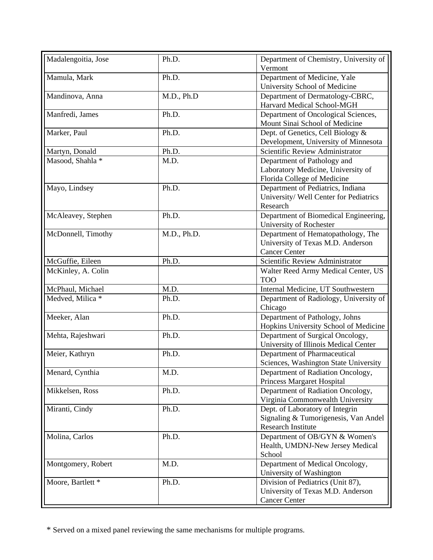| Madalengoitia, Jose         | Ph.D.       | Department of Chemistry, University of<br>Vermont                                                    |
|-----------------------------|-------------|------------------------------------------------------------------------------------------------------|
| Mamula, Mark                | Ph.D.       | Department of Medicine, Yale<br>University School of Medicine                                        |
| Mandinova, Anna             | M.D., Ph.D  | Department of Dermatology-CBRC,<br>Harvard Medical School-MGH                                        |
| Manfredi, James             | Ph.D.       | Department of Oncological Sciences,<br>Mount Sinai School of Medicine                                |
| Marker, Paul                | Ph.D.       | Dept. of Genetics, Cell Biology &<br>Development, University of Minnesota                            |
| Martyn, Donald              | Ph.D.       | Scientific Review Administrator                                                                      |
| Masood, Shahla <sup>*</sup> | M.D.        | Department of Pathology and<br>Laboratory Medicine, University of<br>Florida College of Medicine     |
| Mayo, Lindsey               | Ph.D.       | Department of Pediatrics, Indiana<br>University/ Well Center for Pediatrics<br>Research              |
| McAleavey, Stephen          | Ph.D.       | Department of Biomedical Engineering,<br>University of Rochester                                     |
| McDonnell, Timothy          | M.D., Ph.D. | Department of Hematopathology, The<br>University of Texas M.D. Anderson<br><b>Cancer Center</b>      |
| McGuffie, Eileen            | Ph.D.       | Scientific Review Administrator                                                                      |
| McKinley, A. Colin          |             | Walter Reed Army Medical Center, US<br><b>TOO</b>                                                    |
| McPhaul, Michael            | M.D.        | Internal Medicine, UT Southwestern                                                                   |
| Medved, Milica *            | Ph.D.       | Department of Radiology, University of<br>Chicago                                                    |
| Meeker, Alan                | Ph.D.       | Department of Pathology, Johns<br>Hopkins University School of Medicine                              |
| Mehta, Rajeshwari           | Ph.D.       | Department of Surgical Oncology,<br>University of Illinois Medical Center                            |
| Meier, Kathryn              | Ph.D.       | Department of Pharmaceutical<br>Sciences, Washington State University                                |
| Menard, Cynthia             | M.D.        | Department of Radiation Oncology,<br>Princess Margaret Hospital                                      |
| Mikkelsen, Ross             | Ph.D.       | Department of Radiation Oncology,<br>Virginia Commonwealth University                                |
| Miranti, Cindy              | Ph.D.       | Dept. of Laboratory of Integrin<br>Signaling & Tumorigenesis, Van Andel<br><b>Research Institute</b> |
| Molina, Carlos              | Ph.D.       | Department of OB/GYN & Women's<br>Health, UMDNJ-New Jersey Medical<br>School                         |
| Montgomery, Robert          | M.D.        | Department of Medical Oncology,<br>University of Washington                                          |
| Moore, Bartlett *           | Ph.D.       | Division of Pediatrics (Unit 87),<br>University of Texas M.D. Anderson<br><b>Cancer Center</b>       |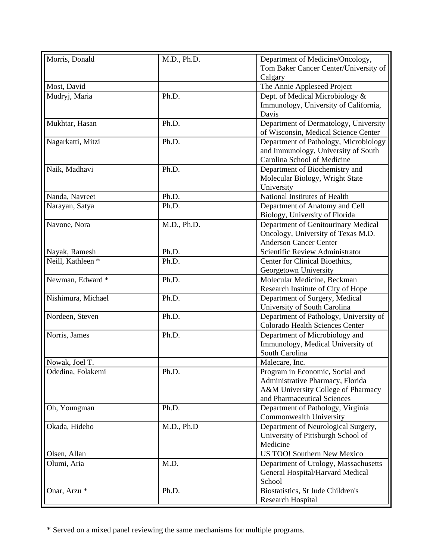| Morris, Donald               | M.D., Ph.D. | Department of Medicine/Oncology,       |
|------------------------------|-------------|----------------------------------------|
|                              |             | Tom Baker Cancer Center/University of  |
|                              |             | Calgary                                |
| Most, David                  |             | The Annie Appleseed Project            |
| Mudryj, Maria                | Ph.D.       | Dept. of Medical Microbiology &        |
|                              |             | Immunology, University of California,  |
|                              |             | Davis                                  |
| Mukhtar, Hasan               | Ph.D.       | Department of Dermatology, University  |
|                              |             | of Wisconsin, Medical Science Center   |
| Nagarkatti, Mitzi            | Ph.D.       | Department of Pathology, Microbiology  |
|                              |             | and Immunology, University of South    |
|                              |             | Carolina School of Medicine            |
| Naik, Madhavi                | Ph.D.       | Department of Biochemistry and         |
|                              |             | Molecular Biology, Wright State        |
|                              |             | University                             |
| Nanda, Navreet               | Ph.D.       | National Institutes of Health          |
| Narayan, Satya               | Ph.D.       | Department of Anatomy and Cell         |
|                              |             | Biology, University of Florida         |
| Navone, Nora                 | M.D., Ph.D. | Department of Genitourinary Medical    |
|                              |             | Oncology, University of Texas M.D.     |
|                              |             | <b>Anderson Cancer Center</b>          |
| Nayak, Ramesh                | Ph.D.       | Scientific Review Administrator        |
| Neill, Kathleen <sup>*</sup> | Ph.D.       | Center for Clinical Bioethics,         |
|                              |             | Georgetown University                  |
| Newman, Edward *             | Ph.D.       | Molecular Medicine, Beckman            |
|                              |             | Research Institute of City of Hope     |
| Nishimura, Michael           | Ph.D.       | Department of Surgery, Medical         |
|                              |             | University of South Carolina           |
| Nordeen, Steven              | Ph.D.       | Department of Pathology, University of |
|                              |             | Colorado Health Sciences Center        |
| Norris, James                | Ph.D.       | Department of Microbiology and         |
|                              |             | Immunology, Medical University of      |
|                              |             | South Carolina                         |
| Nowak, Joel T.               |             | Malecare, Inc.                         |
| Odedina, Folakemi            | Ph.D.       | Program in Economic, Social and        |
|                              |             | Administrative Pharmacy, Florida       |
|                              |             | A&M University College of Pharmacy     |
|                              |             | and Pharmaceutical Sciences            |
| Oh, Youngman                 | Ph.D.       | Department of Pathology, Virginia      |
|                              |             | Commonwealth University                |
| Okada, Hideho                | M.D., Ph.D  | Department of Neurological Surgery,    |
|                              |             | University of Pittsburgh School of     |
|                              |             | Medicine                               |
| Olsen, Allan                 |             | US TOO! Southern New Mexico            |
| Olumi, Aria                  | M.D.        | Department of Urology, Massachusetts   |
|                              |             | General Hospital/Harvard Medical       |
|                              |             | School                                 |
| Onar, Arzu <sup>*</sup>      | Ph.D.       | Biostatistics, St Jude Children's      |
|                              |             | Research Hospital                      |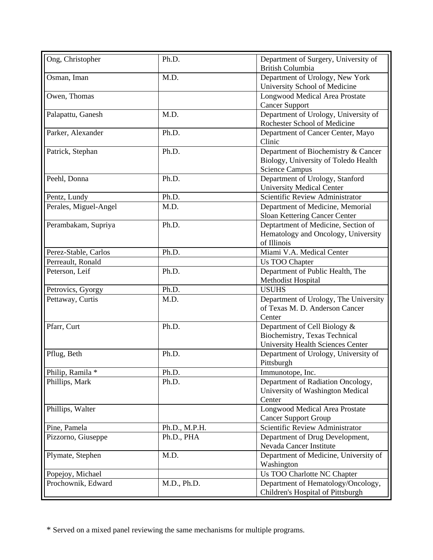| Ong, Christopher      | Ph.D.         | Department of Surgery, University of<br><b>British Columbia</b>                                           |
|-----------------------|---------------|-----------------------------------------------------------------------------------------------------------|
| Osman, Iman           | M.D.          | Department of Urology, New York<br>University School of Medicine                                          |
| Owen, Thomas          |               | Longwood Medical Area Prostate<br><b>Cancer Support</b>                                                   |
| Palapattu, Ganesh     | M.D.          | Department of Urology, University of<br>Rochester School of Medicine                                      |
| Parker, Alexander     | Ph.D.         | Department of Cancer Center, Mayo<br>Clinic                                                               |
| Patrick, Stephan      | Ph.D.         | Department of Biochemistry & Cancer<br>Biology, University of Toledo Health<br><b>Science Campus</b>      |
| Peehl, Donna          | Ph.D.         | Department of Urology, Stanford<br><b>University Medical Center</b>                                       |
| Pentz, Lundy          | Ph.D.         | Scientific Review Administrator                                                                           |
| Perales, Miguel-Angel | M.D.          | Department of Medicine, Memorial<br>Sloan Kettering Cancer Center                                         |
| Perambakam, Supriya   | Ph.D.         | Deptartment of Medicine, Section of<br>Hematology and Oncology, University<br>of Illinois                 |
| Perez-Stable, Carlos  | Ph.D.         | Miami V.A. Medical Center                                                                                 |
| Perreault, Ronald     |               | Us TOO Chapter                                                                                            |
| Peterson, Leif        | Ph.D.         | Department of Public Health, The<br>Methodist Hospital                                                    |
| Petrovics, Gyorgy     | Ph.D.         | <b>USUHS</b>                                                                                              |
| Pettaway, Curtis      | M.D.          | Department of Urology, The University<br>of Texas M. D. Anderson Cancer<br>Center                         |
| Pfarr, Curt           | Ph.D.         | Department of Cell Biology &<br>Biochemistry, Texas Technical<br><b>University Health Sciences Center</b> |
| Pflug, Beth           | Ph.D.         | Department of Urology, University of<br>Pittsburgh                                                        |
| Philip, Ramila *      | Ph.D.         | Immunotope, Inc.                                                                                          |
| Phillips, Mark        | Ph.D.         | Department of Radiation Oncology,<br>University of Washington Medical<br>Center                           |
| Phillips, Walter      |               | Longwood Medical Area Prostate<br><b>Cancer Support Group</b>                                             |
| Pine, Pamela          | Ph.D., M.P.H. | Scientific Review Administrator                                                                           |
| Pizzorno, Giuseppe    | Ph.D., PHA    | Department of Drug Development,<br>Nevada Cancer Institute                                                |
| Plymate, Stephen      | M.D.          | Department of Medicine, University of<br>Washington                                                       |
| Popejoy, Michael      |               | Us TOO Charlotte NC Chapter                                                                               |
| Prochownik, Edward    | M.D., Ph.D.   | Department of Hematology/Oncology,<br>Children's Hospital of Pittsburgh                                   |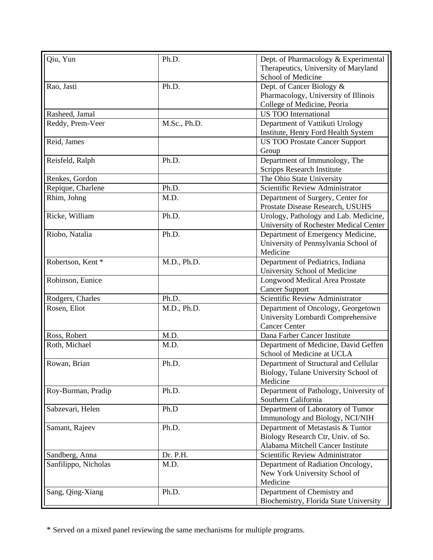| Qiu, Yun             | Ph.D.        | Dept. of Pharmacology & Experimental             |
|----------------------|--------------|--------------------------------------------------|
|                      |              | Therapeutics, University of Maryland             |
|                      |              | School of Medicine                               |
| Rao, Jasti           | Ph.D.        | Dept. of Cancer Biology &                        |
|                      |              | Pharmacology, University of Illinois             |
|                      |              | College of Medicine, Peoria                      |
| Rasheed, Jamal       |              | <b>US TOO International</b>                      |
| Reddy, Prem-Veer     | M.Sc., Ph.D. | Department of Vattikuti Urology                  |
|                      |              | Institute, Henry Ford Health System              |
| Reid, James          |              | <b>US TOO Prostate Cancer Support</b>            |
|                      |              | Group                                            |
| Reisfeld, Ralph      | Ph.D.        | Department of Immunology, The                    |
|                      |              | Scripps Research Institute                       |
| Renkes, Gordon       |              | The Ohio State University                        |
| Repique, Charlene    | Ph.D.        | Scientific Review Administrator                  |
| Rhim, Johng          | M.D.         | Department of Surgery, Center for                |
|                      |              | Prostate Disease Research, USUHS                 |
| Ricke, William       | Ph.D.        | Urology, Pathology and Lab. Medicine,            |
|                      |              | University of Rochester Medical Center           |
| Riobo, Natalia       | Ph.D.        | Department of Emergency Medicine,                |
|                      |              |                                                  |
|                      |              | University of Pennsylvania School of<br>Medicine |
| Robertson, Kent*     |              |                                                  |
|                      | M.D., Ph.D.  | Department of Pediatrics, Indiana                |
|                      |              | University School of Medicine                    |
| Robinson, Eunice     |              | Longwood Medical Area Prostate                   |
|                      |              | <b>Cancer Support</b>                            |
| Rodgers, Charles     | Ph.D.        | Scientific Review Administrator                  |
| Rosen, Eliot         | M.D., Ph.D.  | Department of Oncology, Georgetown               |
|                      |              | University Lombardi Comprehensive                |
|                      |              | <b>Cancer Center</b>                             |
| Ross, Robert         | M.D.         | Dana Farber Cancer Institute                     |
| Roth, Michael        | M.D.         | Department of Medicine, David Geffen             |
|                      |              | School of Medicine at UCLA                       |
| Rowan, Brian         | Ph.D.        | Department of Structural and Cellular            |
|                      |              | Biology, Tulane University School of             |
|                      |              | Medicine                                         |
| Roy-Burman, Pradip   | Ph.D.        | Department of Pathology, University of           |
|                      |              | Southern California                              |
| Sabzevari, Helen     | Ph.D         | Department of Laboratory of Tumor                |
|                      |              | Immunology and Biology, NCI/NIH                  |
| Samant, Rajeev       | Ph.D.        | Department of Metastasis & Tumor                 |
|                      |              | Biology Research Ctr, Univ. of So.               |
|                      |              | Alabama Mitchell Cancer Institute                |
| Sandberg, Anna       | Dr. P.H.     | Scientific Review Administrator                  |
| Sanfilippo, Nicholas | M.D.         | Department of Radiation Oncology,                |
|                      |              | New York University School of                    |
|                      |              | Medicine                                         |
| Sang, Qing-Xiang     | Ph.D.        | Department of Chemistry and                      |
|                      |              | Biochemistry, Florida State University           |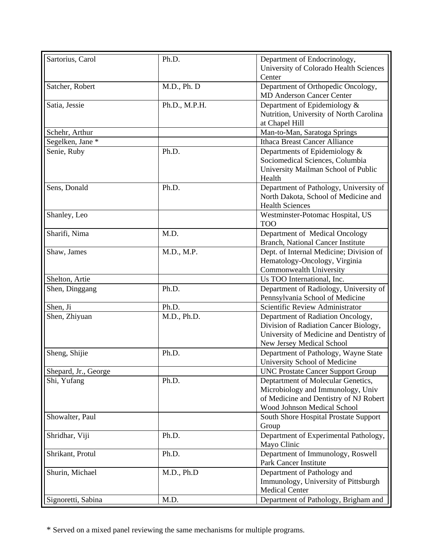| Sartorius, Carol     | Ph.D.         | Department of Endocrinology,                                            |
|----------------------|---------------|-------------------------------------------------------------------------|
|                      |               | University of Colorado Health Sciences                                  |
|                      |               | Center                                                                  |
| Satcher, Robert      | M.D., Ph. D   | Department of Orthopedic Oncology,                                      |
|                      |               | <b>MD Anderson Cancer Center</b>                                        |
| Satia, Jessie        | Ph.D., M.P.H. | Department of Epidemiology &                                            |
|                      |               | Nutrition, University of North Carolina                                 |
|                      |               | at Chapel Hill                                                          |
| Schehr, Arthur       |               | Man-to-Man, Saratoga Springs                                            |
| Segelken, Jane *     |               | <b>Ithaca Breast Cancer Alliance</b>                                    |
| Senie, Ruby          | Ph.D.         | Departments of Epidemiology &                                           |
|                      |               | Sociomedical Sciences, Columbia                                         |
|                      |               | University Mailman School of Public                                     |
|                      |               | Health                                                                  |
| Sens, Donald         | Ph.D.         | Department of Pathology, University of                                  |
|                      |               | North Dakota, School of Medicine and                                    |
|                      |               | <b>Health Sciences</b>                                                  |
| Shanley, Leo         |               | Westminster-Potomac Hospital, US                                        |
|                      |               | <b>TOO</b>                                                              |
| Sharifi, Nima        | M.D.          | Department of Medical Oncology                                          |
|                      |               | Branch, National Cancer Institute                                       |
| Shaw, James          | M.D., M.P.    | Dept. of Internal Medicine; Division of                                 |
|                      |               | Hematology-Oncology, Virginia                                           |
|                      |               | Commonwealth University                                                 |
| Shelton, Artie       |               | Us TOO International, Inc.                                              |
| Shen, Dinggang       | Ph.D.         | Department of Radiology, University of                                  |
|                      |               | Pennsylvania School of Medicine                                         |
| Shen, Ji             | Ph.D.         | Scientific Review Administrator                                         |
| Shen, Zhiyuan        | M.D., Ph.D.   | Department of Radiation Oncology,                                       |
|                      |               | Division of Radiation Cancer Biology,                                   |
|                      |               | University of Medicine and Dentistry of                                 |
|                      |               | New Jersey Medical School                                               |
| Sheng, Shijie        | Ph.D.         | Department of Pathology, Wayne State                                    |
|                      |               | University School of Medicine                                           |
| Shepard, Jr., George |               | UNC Prostate Cancer Support Group                                       |
|                      | Ph.D.         |                                                                         |
| Shi, Yufang          |               | Deptartment of Molecular Genetics,<br>Microbiology and Immunology, Univ |
|                      |               |                                                                         |
|                      |               | of Medicine and Dentistry of NJ Robert                                  |
|                      |               | Wood Johnson Medical School                                             |
| Showalter, Paul      |               | South Shore Hospital Prostate Support                                   |
|                      |               | Group                                                                   |
| Shridhar, Viji       | Ph.D.         | Department of Experimental Pathology,                                   |
|                      |               | Mayo Clinic                                                             |
| Shrikant, Protul     | Ph.D.         | Department of Immunology, Roswell                                       |
|                      |               | Park Cancer Institute                                                   |
| Shurin, Michael      | M.D., Ph.D    | Department of Pathology and                                             |
|                      |               | Immunology, University of Pittsburgh                                    |
|                      |               | <b>Medical Center</b>                                                   |
| Signoretti, Sabina   | M.D.          | Department of Pathology, Brigham and                                    |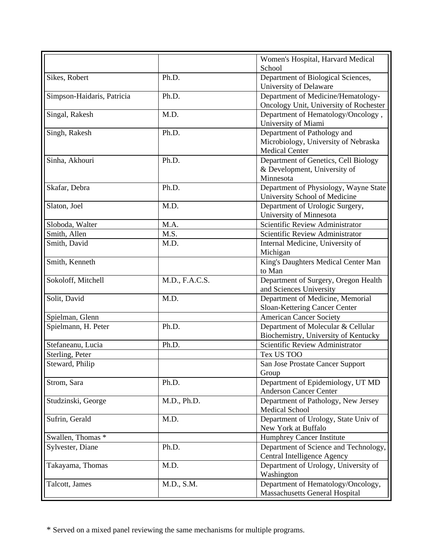|                            |                | Women's Hospital, Harvard Medical<br>School                                                  |
|----------------------------|----------------|----------------------------------------------------------------------------------------------|
| Sikes, Robert              | Ph.D.          | Department of Biological Sciences,<br>University of Delaware                                 |
| Simpson-Haidaris, Patricia | Ph.D.          | Department of Medicine/Hematology-<br>Oncology Unit, University of Rochester                 |
| Singal, Rakesh             | M.D.           | Department of Hematology/Oncology,<br>University of Miami                                    |
| Singh, Rakesh              | Ph.D.          | Department of Pathology and<br>Microbiology, University of Nebraska<br><b>Medical Center</b> |
| Sinha, Akhouri             | Ph.D.          | Department of Genetics, Cell Biology<br>& Development, University of<br>Minnesota            |
| Skafar, Debra              | Ph.D.          | Department of Physiology, Wayne State<br>University School of Medicine                       |
| Slaton, Joel               | M.D.           | Department of Urologic Surgery,<br>University of Minnesota                                   |
| Sloboda, Walter            | M.A.           | Scientific Review Administrator                                                              |
| Smith, Allen               | M.S.           | Scientific Review Administrator                                                              |
| Smith, David               | M.D.           | Internal Medicine, University of<br>Michigan                                                 |
| Smith, Kenneth             |                | King's Daughters Medical Center Man<br>to Man                                                |
| Sokoloff, Mitchell         | M.D., F.A.C.S. | Department of Surgery, Oregon Health<br>and Sciences University                              |
| Solit, David               | M.D.           | Department of Medicine, Memorial<br>Sloan-Kettering Cancer Center                            |
| Spielman, Glenn            |                | <b>American Cancer Society</b>                                                               |
| Spielmann, H. Peter        | Ph.D.          | Department of Molecular & Cellular<br>Biochemistry, University of Kentucky                   |
| Stefaneanu, Lucia          | Ph.D.          | Scientific Review Administrator                                                              |
| Sterling, Peter            |                | Tex US TOO                                                                                   |
| Steward, Philip            |                | San Jose Prostate Cancer Support<br>Group                                                    |
| Strom, Sara                | Ph.D.          | Department of Epidemiology, UT MD<br><b>Anderson Cancer Center</b>                           |
| Studzinski, George         | M.D., Ph.D.    | Department of Pathology, New Jersey<br>Medical School                                        |
| Sufrin, Gerald             | M.D.           | Department of Urology, State Univ of<br>New York at Buffalo                                  |
| Swallen, Thomas *          |                | <b>Humphrey Cancer Institute</b>                                                             |
| Sylvester, Diane           | Ph.D.          | Department of Science and Technology,<br>Central Intelligence Agency                         |
| Takayama, Thomas           | M.D.           | Department of Urology, University of<br>Washington                                           |
| Talcott, James             | M.D., S.M.     | Department of Hematology/Oncology,<br><b>Massachusetts General Hospital</b>                  |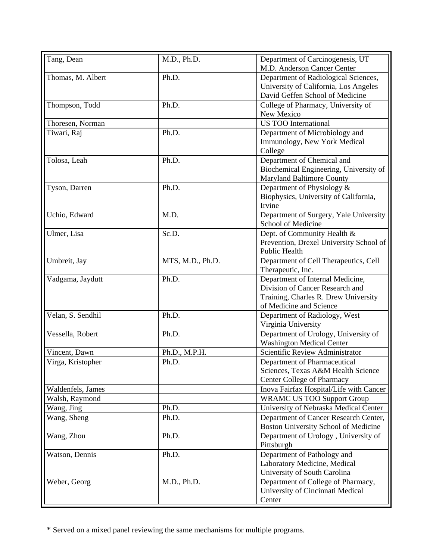| Tang, Dean        | M.D., Ph.D.      | Department of Carcinogenesis, UT        |
|-------------------|------------------|-----------------------------------------|
|                   |                  | M.D. Anderson Cancer Center             |
| Thomas, M. Albert | Ph.D.            | Department of Radiological Sciences,    |
|                   |                  | University of California, Los Angeles   |
|                   |                  | David Geffen School of Medicine         |
| Thompson, Todd    | Ph.D.            | College of Pharmacy, University of      |
|                   |                  | New Mexico                              |
| Thoresen, Norman  |                  | <b>US TOO International</b>             |
| Tiwari, Raj       | Ph.D.            | Department of Microbiology and          |
|                   |                  | Immunology, New York Medical            |
|                   |                  | College                                 |
| Tolosa, Leah      | Ph.D.            | Department of Chemical and              |
|                   |                  | Biochemical Engineering, University of  |
|                   |                  | <b>Maryland Baltimore County</b>        |
| Tyson, Darren     | Ph.D.            | Department of Physiology &              |
|                   |                  | Biophysics, University of California,   |
|                   |                  | Irvine                                  |
| Uchio, Edward     | M.D.             | Department of Surgery, Yale University  |
|                   |                  | School of Medicine                      |
| Ulmer, Lisa       | Sc.D.            | Dept. of Community Health &             |
|                   |                  | Prevention, Drexel University School of |
|                   |                  | Public Health                           |
| Umbreit, Jay      | MTS, M.D., Ph.D. | Department of Cell Therapeutics, Cell   |
|                   |                  | Therapeutic, Inc.                       |
| Vadgama, Jaydutt  | Ph.D.            | Department of Internal Medicine,        |
|                   |                  | Division of Cancer Research and         |
|                   |                  | Training, Charles R. Drew University    |
|                   |                  | of Medicine and Science                 |
| Velan, S. Sendhil | Ph.D.            | Department of Radiology, West           |
|                   |                  | Virginia University                     |
| Vessella, Robert  | Ph.D.            | Department of Urology, University of    |
|                   |                  | <b>Washington Medical Center</b>        |
| Vincent, Dawn     | Ph.D., M.P.H.    | Scientific Review Administrator         |
| Virga, Kristopher | Ph.D.            | Department of Pharmaceutical            |
|                   |                  | Sciences, Texas A&M Health Science      |
|                   |                  | <b>Center College of Pharmacy</b>       |
| Waldenfels, James |                  | Inova Fairfax Hospital/Life with Cancer |
| Walsh, Raymond    |                  |                                         |
|                   |                  | <b>WRAMC US TOO Support Group</b>       |
| Wang, Jing        | Ph.D.            | University of Nebraska Medical Center   |
| Wang, Sheng       | Ph.D.            | Department of Cancer Research Center,   |
|                   |                  | Boston University School of Medicine    |
| Wang, Zhou        | Ph.D.            | Department of Urology, University of    |
|                   |                  | Pittsburgh                              |
| Watson, Dennis    | Ph.D.            | Department of Pathology and             |
|                   |                  | Laboratory Medicine, Medical            |
|                   |                  | University of South Carolina            |
| Weber, Georg      | M.D., Ph.D.      | Department of College of Pharmacy,      |
|                   |                  | University of Cincinnati Medical        |
|                   |                  | Center                                  |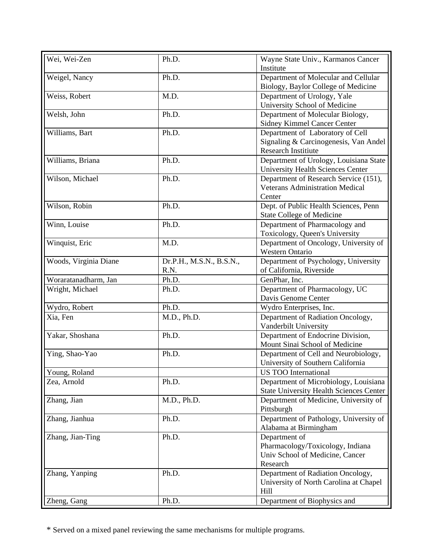| Wei, Wei-Zen          | Ph.D.                            | Wayne State Univ., Karmanos Cancer<br>Institute                                                         |
|-----------------------|----------------------------------|---------------------------------------------------------------------------------------------------------|
| Weigel, Nancy         | Ph.D.                            | Department of Molecular and Cellular<br>Biology, Baylor College of Medicine                             |
| Weiss, Robert         | M.D.                             | Department of Urology, Yale<br>University School of Medicine                                            |
| Welsh, John           | Ph.D.                            | Department of Molecular Biology,<br><b>Sidney Kimmel Cancer Center</b>                                  |
| Williams, Bart        | Ph.D.                            | Department of Laboratory of Cell<br>Signaling & Carcinogenesis, Van Andel<br><b>Research Institiute</b> |
| Williams, Briana      | Ph.D.                            | Department of Urology, Louisiana State<br><b>University Health Sciences Center</b>                      |
| Wilson, Michael       | Ph.D.                            | Department of Research Service (151),<br><b>Veterans Administration Medical</b><br>Center               |
| Wilson, Robin         | Ph.D.                            | Dept. of Public Health Sciences, Penn<br><b>State College of Medicine</b>                               |
| Winn, Louise          | Ph.D.                            | Department of Pharmacology and<br>Toxicology, Queen's University                                        |
| Winquist, Eric        | M.D.                             | Department of Oncology, University of<br><b>Western Ontario</b>                                         |
| Woods, Virginia Diane | Dr.P.H., M.S.N., B.S.N.,<br>R.N. | Department of Psychology, University<br>of California, Riverside                                        |
| Woraratanadharm, Jan  | Ph.D.                            | GenPhar, Inc.                                                                                           |
| Wright, Michael       | Ph.D.                            | Department of Pharmacology, UC<br>Davis Genome Center                                                   |
| Wydro, Robert         | Ph.D.                            | Wydro Enterprises, Inc.                                                                                 |
| Xia, Fen              | M.D., Ph.D.                      | Department of Radiation Oncology,<br>Vanderbilt University                                              |
| Yakar, Shoshana       | Ph.D.                            | Department of Endocrine Division,<br>Mount Sinai School of Medicine                                     |
| Ying, Shao-Yao        | Ph.D.                            | Department of Cell and Neurobiology,<br>University of Southern California                               |
| Young, Roland         |                                  | <b>US TOO International</b>                                                                             |
| Zea, Arnold           | Ph.D.                            | Department of Microbiology, Louisiana<br><b>State University Health Sciences Center</b>                 |
| Zhang, Jian           | M.D., Ph.D.                      | Department of Medicine, University of<br>Pittsburgh                                                     |
| Zhang, Jianhua        | Ph.D.                            | Department of Pathology, University of<br>Alabama at Birmingham                                         |
| Zhang, Jian-Ting      | Ph.D.                            | Department of<br>Pharmacology/Toxicology, Indiana<br>Univ School of Medicine, Cancer<br>Research        |
| Zhang, Yanping        | Ph.D.                            | Department of Radiation Oncology,<br>University of North Carolina at Chapel<br>Hill                     |
| Zheng, Gang           | Ph.D.                            | Department of Biophysics and                                                                            |